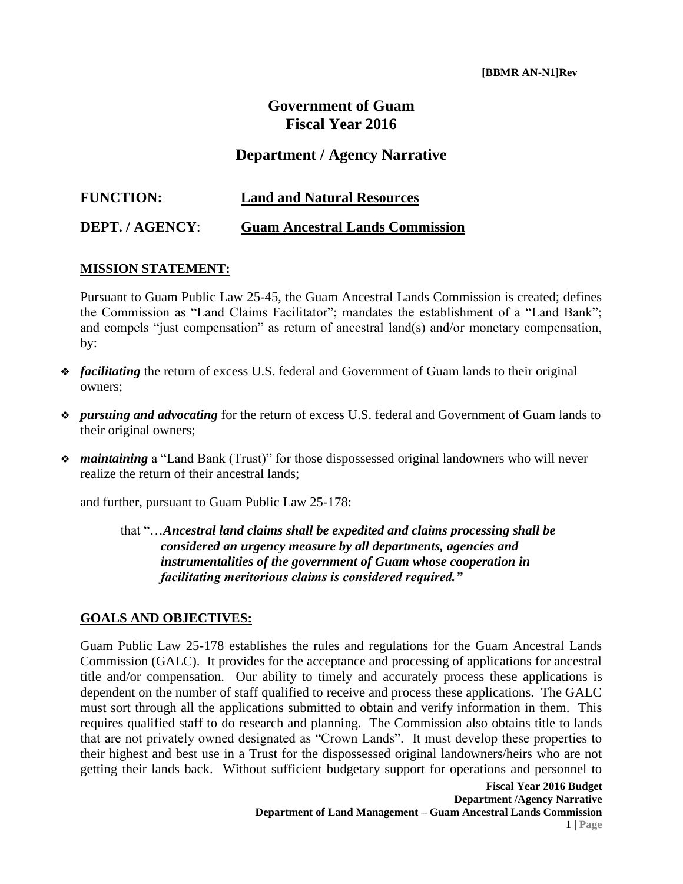## **Government of Guam Fiscal Year 2016**

## **Department / Agency Narrative**

| <b>FUNCTION:</b> | <b>Land and Natural Resources</b>      |
|------------------|----------------------------------------|
| DEPT. / AGENCY:  | <b>Guam Ancestral Lands Commission</b> |

## **MISSION STATEMENT:**

Pursuant to Guam Public Law 25-45, the Guam Ancestral Lands Commission is created; defines the Commission as "Land Claims Facilitator"; mandates the establishment of a "Land Bank"; and compels "just compensation" as return of ancestral land(s) and/or monetary compensation, by:

- ❖ *facilitating* the return of excess U.S. federal and Government of Guam lands to their original owners;
- ❖ *pursuing and advocating* for the return of excess U.S. federal and Government of Guam lands to their original owners;
- ❖ *maintaining* a "Land Bank (Trust)" for those dispossessed original landowners who will never realize the return of their ancestral lands;

and further, pursuant to Guam Public Law 25-178:

that "…*Ancestral land claims shall be expedited and claims processing shall be considered an urgency measure by all departments, agencies and instrumentalities of the government of Guam whose cooperation in facilitating meritorious claims is considered required."*

## **GOALS AND OBJECTIVES:**

Guam Public Law 25-178 establishes the rules and regulations for the Guam Ancestral Lands Commission (GALC). It provides for the acceptance and processing of applications for ancestral title and/or compensation. Our ability to timely and accurately process these applications is dependent on the number of staff qualified to receive and process these applications. The GALC must sort through all the applications submitted to obtain and verify information in them. This requires qualified staff to do research and planning. The Commission also obtains title to lands that are not privately owned designated as "Crown Lands". It must develop these properties to their highest and best use in a Trust for the dispossessed original landowners/heirs who are not getting their lands back. Without sufficient budgetary support for operations and personnel to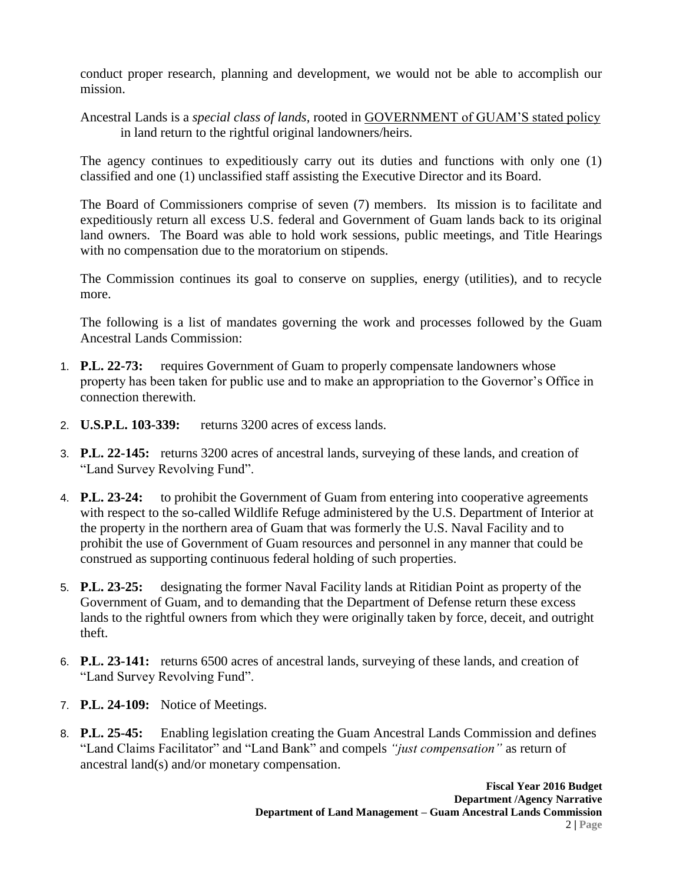conduct proper research, planning and development, we would not be able to accomplish our mission.

Ancestral Lands is a *special class of lands,* rooted in GOVERNMENT of GUAM'S stated policy in land return to the rightful original landowners/heirs.

The agency continues to expeditiously carry out its duties and functions with only one (1) classified and one (1) unclassified staff assisting the Executive Director and its Board.

The Board of Commissioners comprise of seven (7) members. Its mission is to facilitate and expeditiously return all excess U.S. federal and Government of Guam lands back to its original land owners. The Board was able to hold work sessions, public meetings, and Title Hearings with no compensation due to the moratorium on stipends.

The Commission continues its goal to conserve on supplies, energy (utilities), and to recycle more.

The following is a list of mandates governing the work and processes followed by the Guam Ancestral Lands Commission:

- 1. **P.L. 22-73:** requires Government of Guam to properly compensate landowners whose property has been taken for public use and to make an appropriation to the Governor's Office in connection therewith.
- 2. **U.S.P.L. 103-339:** returns 3200 acres of excess lands.
- 3. **P.L. 22-145:** returns 3200 acres of ancestral lands, surveying of these lands, and creation of "Land Survey Revolving Fund".
- 4. **P.L. 23-24:** to prohibit the Government of Guam from entering into cooperative agreements with respect to the so-called Wildlife Refuge administered by the U.S. Department of Interior at the property in the northern area of Guam that was formerly the U.S. Naval Facility and to prohibit the use of Government of Guam resources and personnel in any manner that could be construed as supporting continuous federal holding of such properties.
- 5. **P.L. 23-25:** designating the former Naval Facility lands at Ritidian Point as property of the Government of Guam, and to demanding that the Department of Defense return these excess lands to the rightful owners from which they were originally taken by force, deceit, and outright theft.
- 6. **P.L. 23-141:** returns 6500 acres of ancestral lands, surveying of these lands, and creation of "Land Survey Revolving Fund".
- 7. **P.L. 24-109:** Notice of Meetings.
- 8. **P.L. 25-45:** Enabling legislation creating the Guam Ancestral Lands Commission and defines "Land Claims Facilitator" and "Land Bank" and compels *"just compensation"* as return of ancestral land(s) and/or monetary compensation.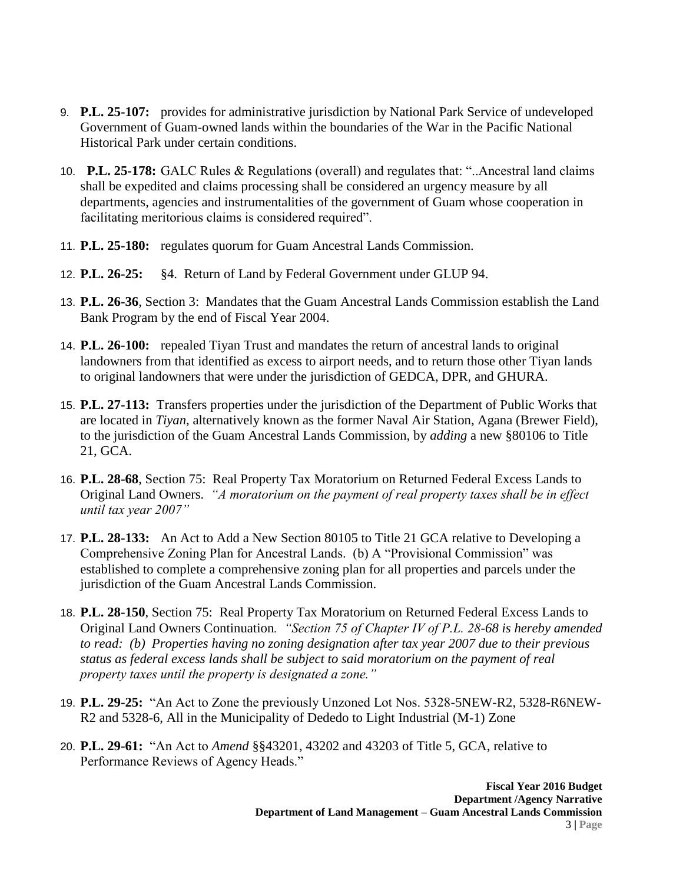- 9. **P.L. 25-107:** provides for administrative jurisdiction by National Park Service of undeveloped Government of Guam-owned lands within the boundaries of the War in the Pacific National Historical Park under certain conditions.
- 10. **P.L. 25-178:** GALC Rules & Regulations (overall) and regulates that: "..Ancestral land claims shall be expedited and claims processing shall be considered an urgency measure by all departments, agencies and instrumentalities of the government of Guam whose cooperation in facilitating meritorious claims is considered required".
- 11. **P.L. 25-180:** regulates quorum for Guam Ancestral Lands Commission.
- 12. **P.L. 26-25:** §4. Return of Land by Federal Government under GLUP 94.
- 13. **P.L. 26-36**, Section 3: Mandates that the Guam Ancestral Lands Commission establish the Land Bank Program by the end of Fiscal Year 2004.
- 14. **P.L. 26-100:** repealed Tiyan Trust and mandates the return of ancestral lands to original landowners from that identified as excess to airport needs, and to return those other Tiyan lands to original landowners that were under the jurisdiction of GEDCA, DPR, and GHURA.
- 15. **P.L. 27-113:** Transfers properties under the jurisdiction of the Department of Public Works that are located in *Tiyan*, alternatively known as the former Naval Air Station, Agana (Brewer Field), to the jurisdiction of the Guam Ancestral Lands Commission, by *adding* a new §80106 to Title 21, GCA.
- 16. **P.L. 28-68**, Section 75: Real Property Tax Moratorium on Returned Federal Excess Lands to Original Land Owners. *"A moratorium on the payment of real property taxes shall be in effect until tax year 2007"*
- 17. **P.L. 28-133:** An Act to Add a New Section 80105 to Title 21 GCA relative to Developing a Comprehensive Zoning Plan for Ancestral Lands. (b) A "Provisional Commission" was established to complete a comprehensive zoning plan for all properties and parcels under the jurisdiction of the Guam Ancestral Lands Commission.
- 18. **P.L. 28-150**, Section 75: Real Property Tax Moratorium on Returned Federal Excess Lands to Original Land Owners Continuation*. "Section 75 of Chapter IV of P.L. 28-68 is hereby amended to read: (b) Properties having no zoning designation after tax year 2007 due to their previous status as federal excess lands shall be subject to said moratorium on the payment of real property taxes until the property is designated a zone."*
- 19. **P.L. 29-25:** "An Act to Zone the previously Unzoned Lot Nos. 5328-5NEW-R2, 5328-R6NEW-R2 and 5328-6, All in the Municipality of Dededo to Light Industrial (M-1) Zone
- 20. **P.L. 29-61:** "An Act to *Amend* §§43201, 43202 and 43203 of Title 5, GCA, relative to Performance Reviews of Agency Heads."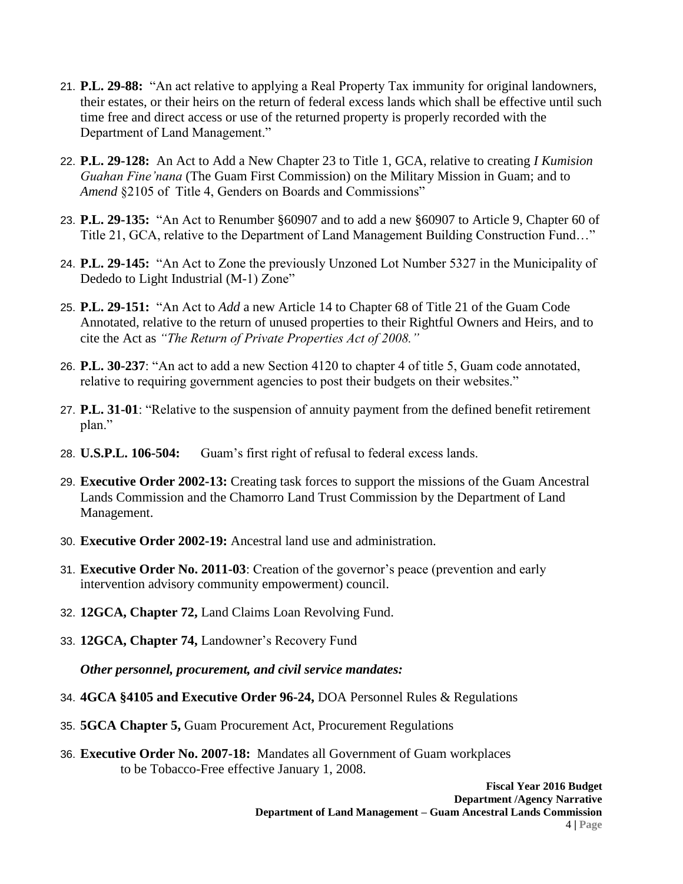- 21. **P.L. 29-88:** "An act relative to applying a Real Property Tax immunity for original landowners, their estates, or their heirs on the return of federal excess lands which shall be effective until such time free and direct access or use of the returned property is properly recorded with the Department of Land Management."
- 22. **P.L. 29-128:** An Act to Add a New Chapter 23 to Title 1, GCA, relative to creating *I Kumision Guahan Fine'nana* (The Guam First Commission) on the Military Mission in Guam; and to *Amend* §2105 of Title 4, Genders on Boards and Commissions"
- 23. **P.L. 29-135:** "An Act to Renumber §60907 and to add a new §60907 to Article 9, Chapter 60 of Title 21, GCA, relative to the Department of Land Management Building Construction Fund…"
- 24. **P.L. 29-145:** "An Act to Zone the previously Unzoned Lot Number 5327 in the Municipality of Dededo to Light Industrial (M-1) Zone"
- 25. **P.L. 29-151:** "An Act to *Add* a new Article 14 to Chapter 68 of Title 21 of the Guam Code Annotated, relative to the return of unused properties to their Rightful Owners and Heirs, and to cite the Act as *"The Return of Private Properties Act of 2008."*
- 26. **P.L. 30-237**: "An act to add a new Section 4120 to chapter 4 of title 5, Guam code annotated, relative to requiring government agencies to post their budgets on their websites."
- 27. **P.L. 31-01**: "Relative to the suspension of annuity payment from the defined benefit retirement plan."
- 28. **U.S.P.L. 106-504:** Guam's first right of refusal to federal excess lands.
- 29. **Executive Order 2002-13:** Creating task forces to support the missions of the Guam Ancestral Lands Commission and the Chamorro Land Trust Commission by the Department of Land Management.
- 30. **Executive Order 2002-19:** Ancestral land use and administration.
- 31. **Executive Order No. 2011-03**: Creation of the governor's peace (prevention and early intervention advisory community empowerment) council.
- 32. **12GCA, Chapter 72,** Land Claims Loan Revolving Fund.
- 33. **12GCA, Chapter 74,** Landowner's Recovery Fund

*Other personnel, procurement, and civil service mandates:*

- 34. **4GCA §4105 and Executive Order 96-24,** DOA Personnel Rules & Regulations
- 35. **5GCA Chapter 5,** Guam Procurement Act, Procurement Regulations
- 36. **Executive Order No. 2007-18:** Mandates all Government of Guam workplaces to be Tobacco-Free effective January 1, 2008.

**Fiscal Year 2016 Budget Department /Agency Narrative Department of Land Management – Guam Ancestral Lands Commission**  4 **| Page**